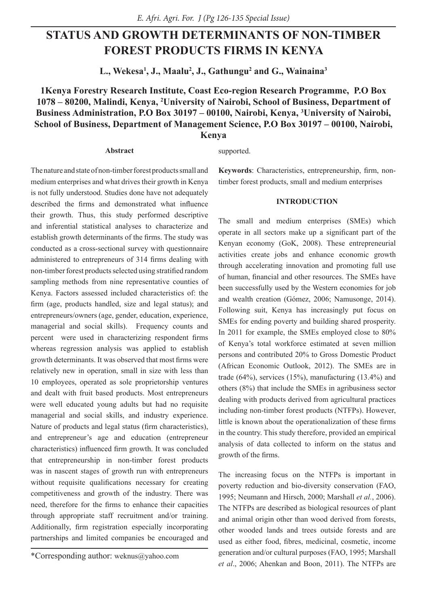# **STATUS AND GROWTH DETERMINANTS OF NON-TIMBER FOREST PRODUCTS FIRMS IN KENYA**

**L., Wekesa1 , J., Maalu2 , J., Gathungu2 and G., Wainaina3**

# **1Kenya Forestry Research Institute, Coast Eco-region Research Programme, P.O Box 1078 – 80200, Malindi, Kenya, 2 University of Nairobi, School of Business, Department of Business Administration, P.O Box 30197 – 00100, Nairobi, Kenya, 3 University of Nairobi, School of Business, Department of Management Science, P.O Box 30197 – 00100, Nairobi, Kenya**

### **Abstract**

supported.

The nature and state of non-timber forest products small and medium enterprises and what drives their growth in Kenya is not fully understood. Studies done have not adequately described the firms and demonstrated what influence their growth. Thus, this study performed descriptive and inferential statistical analyses to characterize and establish growth determinants of the firms. The study was conducted as a cross-sectional survey with questionnaire administered to entrepreneurs of 314 firms dealing with non-timber forest products selected using stratified random sampling methods from nine representative counties of Kenya. Factors assessed included characteristics of: the firm (age, products handled, size and legal status); and entrepreneurs/owners (age, gender, education, experience, managerial and social skills). Frequency counts and percent were used in characterizing respondent firms whereas regression analysis was applied to establish growth determinants. It was observed that most firms were relatively new in operation, small in size with less than 10 employees, operated as sole proprietorship ventures and dealt with fruit based products. Most entrepreneurs were well educated young adults but had no requisite managerial and social skills, and industry experience. Nature of products and legal status (firm characteristics), and entrepreneur's age and education (entrepreneur characteristics) influenced firm growth. It was concluded that entrepreneurship in non-timber forest products was in nascent stages of growth run with entrepreneurs without requisite qualifications necessary for creating competitiveness and growth of the industry. There was need, therefore for the firms to enhance their capacities through appropriate staff recruitment and/or training. Additionally, firm registration especially incorporating partnerships and limited companies be encouraged and

**Keywords**: Characteristics, entrepreneurship, firm, nontimber forest products, small and medium enterprises

# **INTRODUCTION**

The small and medium enterprises (SMEs) which operate in all sectors make up a significant part of the Kenyan economy (GoK, 2008). These entrepreneurial activities create jobs and enhance economic growth through accelerating innovation and promoting full use of human, financial and other resources. The SMEs have been successfully used by the Western economies for job and wealth creation (Gómez, 2006; Namusonge, 2014). Following suit, Kenya has increasingly put focus on SMEs for ending poverty and building shared prosperity. In 2011 for example, the SMEs employed close to 80% of Kenya's total workforce estimated at seven million persons and contributed 20% to Gross Domestic Product (African Economic Outlook, 2012). The SMEs are in trade  $(64\%)$ , services  $(15\%)$ , manufacturing  $(13.4\%)$  and others (8%) that include the SMEs in agribusiness sector dealing with products derived from agricultural practices including non-timber forest products (NTFPs). However, little is known about the operationalization of these firms in the country. This study therefore, provided an empirical analysis of data collected to inform on the status and growth of the firms.

The increasing focus on the NTFPs is important in poverty reduction and bio-diversity conservation (FAO, 1995; Neumann and Hirsch, 2000; Marshall *et al.*, 2006). The NTFPs are described as biological resources of plant and animal origin other than wood derived from forests, other wooded lands and trees outside forests and are used as either food, fibres, medicinal, cosmetic, income generation and/or cultural purposes (FAO, 1995; Marshall *et al*., 2006; Ahenkan and Boon, 2011). The NTFPs are

<sup>\*</sup>Corresponding author: weknus@yahoo.com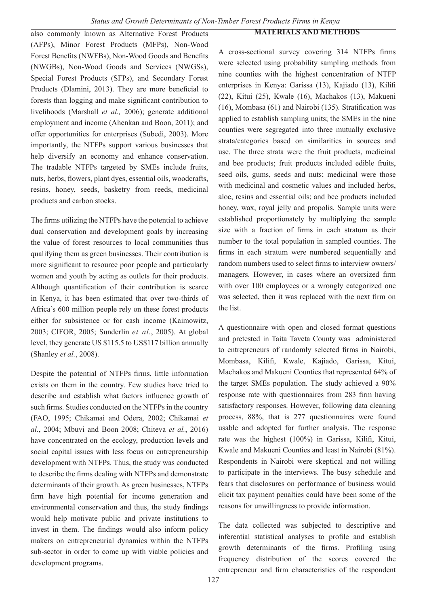# **MATERIALS AND METHODS**

also commonly known as Alternative Forest Products (AFPs), Minor Forest Products (MFPs), Non-Wood Forest Benefits (NWFBs), Non-Wood Goods and Benefits (NWGBs), Non-Wood Goods and Services (NWGSs), Special Forest Products (SFPs), and Secondary Forest Products (Dlamini, 2013). They are more beneficial to forests than logging and make significant contribution to livelihoods (Marshall *et al.,* 2006); generate additional employment and income (Ahenkan and Boon, 2011); and offer opportunities for enterprises (Subedi, 2003). More importantly, the NTFPs support various businesses that help diversify an economy and enhance conservation. The tradable NTFPs targeted by SMEs include fruits, nuts, herbs, flowers, plant dyes, essential oils, woodcrafts, resins, honey, seeds, basketry from reeds, medicinal products and carbon stocks.

The firms utilizing the NTFPs have the potential to achieve dual conservation and development goals by increasing the value of forest resources to local communities thus qualifying them as green businesses. Their contribution is more significant to resource poor people and particularly women and youth by acting as outlets for their products. Although quantification of their contribution is scarce in Kenya, it has been estimated that over two-thirds of Africa's 600 million people rely on these forest products either for subsistence or for cash income (Kaimowitz, 2003; CIFOR, 2005; Sunderlin *et al.*, 2005). At global level, they generate US \$115.5 to US\$117 billion annually (Shanley *et al.*, 2008).

Despite the potential of NTFPs firms, little information exists on them in the country. Few studies have tried to describe and establish what factors influence growth of such firms. Studies conducted on the NTFPs in the country (FAO, 1995; Chikamai and Odera, 2002; Chikamai *et al.*, 2004; Mbuvi and Boon 2008; Chiteva *et al.*, 2016) have concentrated on the ecology, production levels and social capital issues with less focus on entrepreneurship development with NTFPs. Thus, the study was conducted to describe the firms dealing with NTFPs and demonstrate determinants of their growth. As green businesses, NTFPs firm have high potential for income generation and environmental conservation and thus, the study findings would help motivate public and private institutions to invest in them. The findings would also inform policy makers on entrepreneurial dynamics within the NTFPs sub-sector in order to come up with viable policies and development programs.

A cross-sectional survey covering 314 NTFPs firms were selected using probability sampling methods from nine counties with the highest concentration of NTFP enterprises in Kenya: Garissa (13), Kajiado (13), Kilifi (22), Kitui (25), Kwale (16), Machakos (13), Makueni (16), Mombasa (61) and Nairobi (135). Stratification was applied to establish sampling units; the SMEs in the nine counties were segregated into three mutually exclusive strata/categories based on similarities in sources and use. The three strata were the fruit products, medicinal and bee products; fruit products included edible fruits, seed oils, gums, seeds and nuts; medicinal were those with medicinal and cosmetic values and included herbs, aloe, resins and essential oils; and bee products included honey, wax, royal jelly and propolis. Sample units were established proportionately by multiplying the sample size with a fraction of firms in each stratum as their number to the total population in sampled counties. The firms in each stratum were numbered sequentially and random numbers used to select firms to interview owners/ managers. However, in cases where an oversized firm with over 100 employees or a wrongly categorized one was selected, then it was replaced with the next firm on the list.

A questionnaire with open and closed format questions and pretested in Taita Taveta County was administered to entrepreneurs of randomly selected firms in Nairobi, Mombasa, Kilifi, Kwale, Kajiado, Garissa, Kitui, Machakos and Makueni Counties that represented 64% of the target SMEs population. The study achieved a 90% response rate with questionnaires from 283 firm having satisfactory responses. However, following data cleaning process, 88%, that is 277 questionnaires were found usable and adopted for further analysis. The response rate was the highest (100%) in Garissa, Kilifi, Kitui, Kwale and Makueni Counties and least in Nairobi (81%). Respondents in Nairobi were skeptical and not willing to participate in the interviews. The busy schedule and fears that disclosures on performance of business would elicit tax payment penalties could have been some of the reasons for unwillingness to provide information.

The data collected was subjected to descriptive and inferential statistical analyses to profile and establish growth determinants of the firms. Profiling using frequency distribution of the scores covered the entrepreneur and firm characteristics of the respondent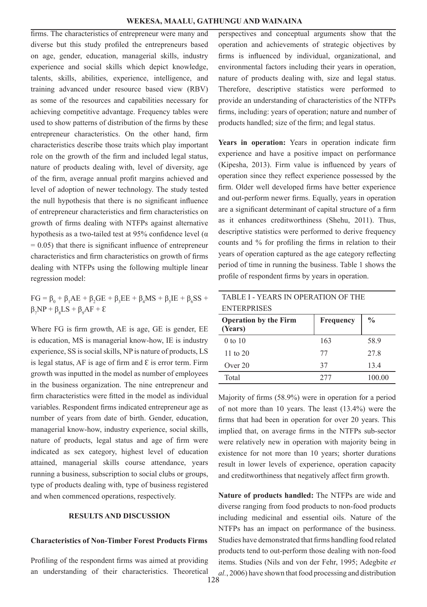firms. The characteristics of entrepreneur were many and diverse but this study profiled the entrepreneurs based on age, gender, education, managerial skills, industry experience and social skills which depict knowledge, talents, skills, abilities, experience, intelligence, and training advanced under resource based view (RBV) as some of the resources and capabilities necessary for achieving competitive advantage. Frequency tables were used to show patterns of distribution of the firms by these entrepreneur characteristics. On the other hand, firm characteristics describe those traits which play important role on the growth of the firm and included legal status, nature of products dealing with, level of diversity, age of the firm, average annual profit margins achieved and level of adoption of newer technology. The study tested the null hypothesis that there is no significant influence of entrepreneur characteristics and firm characteristics on growth of firms dealing with NTFPs against alternative hypothesis as a two-tailed test at 95% confidence level (α  $= 0.05$ ) that there is significant influence of entrepreneur characteristics and firm characteristics on growth of firms dealing with NTFPs using the following multiple linear regression model:

 $FG = \beta_0 + \beta_1 AE + \beta_2 GE + \beta_3 EE + \beta_4 MS + \beta_5 IE + \beta_6 SS +$  $\beta_7 NP + \beta_8 LS + \beta_9 AF + \epsilon$ 

Where FG is firm growth, AE is age, GE is gender, EE is education, MS is managerial know-how, IE is industry experience, SS is social skills, NP is nature of products, LS is legal status, AF is age of firm and  $\epsilon$  is error term. Firm growth was inputted in the model as number of employees in the business organization. The nine entrepreneur and firm characteristics were fitted in the model as individual variables. Respondent firms indicated entrepreneur age as number of years from date of birth. Gender, education, managerial know-how, industry experience, social skills, nature of products, legal status and age of firm were indicated as sex category, highest level of education attained, managerial skills course attendance, years running a business, subscription to social clubs or groups, type of products dealing with, type of business registered and when commenced operations, respectively.

## **RESULTS AND DISCUSSION**

### **Characteristics of Non-Timber Forest Products Firms**

Profiling of the respondent firms was aimed at providing an understanding of their characteristics. Theoretical

perspectives and conceptual arguments show that the operation and achievements of strategic objectives by firms is influenced by individual, organizational, and environmental factors including their years in operation, nature of products dealing with, size and legal status. Therefore, descriptive statistics were performed to provide an understanding of characteristics of the NTFPs firms, including: years of operation; nature and number of products handled; size of the firm; and legal status.

Years in operation: Years in operation indicate firm experience and have a positive impact on performance (Kipesha, 2013). Firm value is influenced by years of operation since they reflect experience possessed by the firm. Older well developed firms have better experience and out-perform newer firms. Equally, years in operation are a significant determinant of capital structure of a firm as it enhances creditworthiness (Shehu, 2011). Thus, descriptive statistics were performed to derive frequency counts and % for profiling the firms in relation to their years of operation captured as the age category reflecting period of time in running the business. Table 1 shows the profile of respondent firms by years in operation.

| TABLE I - YEARS IN OPERATION OF THE                                   |     |        |  |  |
|-----------------------------------------------------------------------|-----|--------|--|--|
| <b>ENTERPRISES</b>                                                    |     |        |  |  |
| $\frac{0}{0}$<br><b>Operation by the Firm</b><br>Frequency<br>(Years) |     |        |  |  |
| $0$ to $10$                                                           | 163 | 58.9   |  |  |
| 11 to $20$                                                            | 77  | 27.8   |  |  |
| Over $20$                                                             | 37  | 13.4   |  |  |
| Total                                                                 | 277 | 100.00 |  |  |

Majority of firms (58.9%) were in operation for a period of not more than 10 years. The least (13.4%) were the firms that had been in operation for over 20 years. This implied that, on average firms in the NTFPs sub-sector were relatively new in operation with majority being in existence for not more than 10 years; shorter durations result in lower levels of experience, operation capacity and creditworthiness that negatively affect firm growth.

**Nature of products handled:** The NTFPs are wide and diverse ranging from food products to non-food products including medicinal and essential oils. Nature of the NTFPs has an impact on performance of the business. Studies have demonstrated that firms handling food related products tend to out-perform those dealing with non-food items. Studies (Nils and von der Fehr, 1995; Adegbite *et al.*, 2006) have shown that food processing and distribution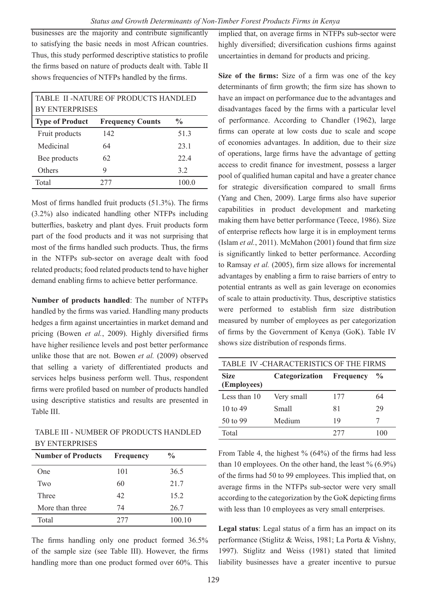businesses are the majority and contribute significantly to satisfying the basic needs in most African countries. Thus, this study performed descriptive statistics to profile the firms based on nature of products dealt with. Table II shows frequencies of NTFPs handled by the firms.

| TABLE II -NATURE OF PRODUCTS HANDLED |                         |               |  |
|--------------------------------------|-------------------------|---------------|--|
| <b>BY ENTERPRISES</b>                |                         |               |  |
| <b>Type of Product</b>               | <b>Frequency Counts</b> | $\frac{0}{0}$ |  |
| Fruit products                       | 142                     | 51.3          |  |
| Medicinal                            | 64                      | 23.1          |  |
| Bee products                         | 62                      | 22.4          |  |
| Others                               | 9                       | 32            |  |
| Total                                | 277                     | 100.0         |  |

Most of firms handled fruit products (51.3%). The firms (3.2%) also indicated handling other NTFPs including butterflies, basketry and plant dyes. Fruit products form part of the food products and it was not surprising that most of the firms handled such products. Thus, the firms in the NTFPs sub-sector on average dealt with food related products; food related products tend to have higher demand enabling firms to achieve better performance.

**Number of products handled**: The number of NTFPs handled by the firms was varied. Handling many products hedges a firm against uncertainties in market demand and pricing (Bowen *et al.*, 2009). Highly diversified firms have higher resilience levels and post better performance unlike those that are not. Bowen *et al.* (2009) observed that selling a variety of differentiated products and services helps business perform well. Thus, respondent firms were profiled based on number of products handled using descriptive statistics and results are presented in Table III.

TABLE III - NUMBER OF PRODUCTS HANDLED BY ENTERPRISES

| <b>Number of Products</b> | Frequency | $\frac{0}{0}$ |
|---------------------------|-----------|---------------|
| One                       | 101       | 36.5          |
| Two                       | 60        | 21.7          |
| Three                     | 42        | 15.2          |
| More than three           | 74        | 26.7          |
| Total                     | 277       | 100.10        |

The firms handling only one product formed 36.5% of the sample size (see Table III). However, the firms handling more than one product formed over 60%. This

implied that, on average firms in NTFPs sub-sector were highly diversified; diversification cushions firms against uncertainties in demand for products and pricing.

**Size of the firms:** Size of a firm was one of the key determinants of firm growth; the firm size has shown to have an impact on performance due to the advantages and disadvantages faced by the firms with a particular level of performance. According to Chandler (1962), large firms can operate at low costs due to scale and scope of economies advantages. In addition, due to their size of operations, large firms have the advantage of getting access to credit finance for investment, possess a larger pool of qualified human capital and have a greater chance for strategic diversification compared to small firms (Yang and Chen, 2009). Large firms also have superior capabilities in product development and marketing making them have better performance (Teece, 1986). Size of enterprise reflects how large it is in employment terms (Islam *et al.*, 2011). McMahon (2001) found that firm size is significantly linked to better performance. According to Ramsay *et al.* (2005), firm size allows for incremental advantages by enabling a firm to raise barriers of entry to potential entrants as well as gain leverage on economies of scale to attain productivity. Thus, descriptive statistics were performed to establish firm size distribution measured by number of employees as per categorization of firms by the Government of Kenya (GoK). Table IV shows size distribution of responds firms.

| TABLE IV -CHARACTERISTICS OF THE FIRMS |                          |     |               |  |
|----------------------------------------|--------------------------|-----|---------------|--|
| <b>Size</b><br>(Employees)             | Categorization Frequency |     | $\frac{6}{9}$ |  |
| Less than 10                           | Very small               | 177 | 64            |  |
| $10 \text{ to } 49$                    | Small                    | 81  | 29            |  |
| 50 to 99                               | Medium                   | 19  |               |  |
| Total                                  |                          | 277 |               |  |

From Table 4, the highest  $\%$  (64%) of the firms had less than 10 employees. On the other hand, the least  $\%$  (6.9%) of the firms had 50 to 99 employees. This implied that, on average firms in the NTFPs sub-sector were very small according to the categorization by the GoK depicting firms with less than 10 employees as very small enterprises.

**Legal status**: Legal status of a firm has an impact on its performance (Stiglitz & Weiss, 1981; La Porta & Vishny, 1997). Stiglitz and Weiss (1981) stated that limited liability businesses have a greater incentive to pursue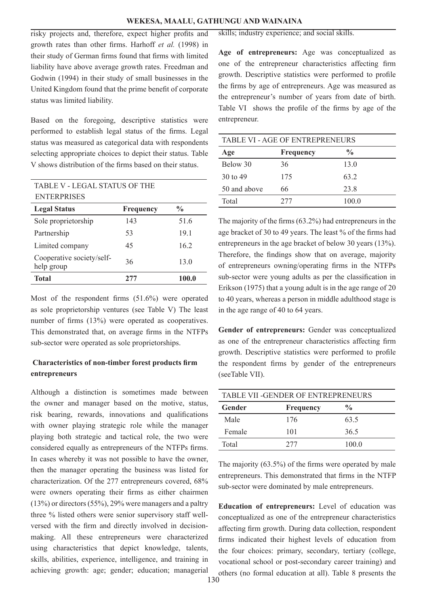risky projects and, therefore, expect higher profits and growth rates than other firms. Harhoff *et al.* (1998) in their study of German firms found that firms with limited liability have above average growth rates. Freedman and Godwin (1994) in their study of small businesses in the United Kingdom found that the prime benefit of corporate status was limited liability.

Based on the foregoing, descriptive statistics were performed to establish legal status of the firms. Legal status was measured as categorical data with respondents selecting appropriate choices to depict their status. Table V shows distribution of the firms based on their status.

| <b>TABLE V - LEGAL STATUS OF THE</b>    |           |               |  |
|-----------------------------------------|-----------|---------------|--|
| <b>ENTERPRISES</b>                      |           |               |  |
| <b>Legal Status</b>                     | Frequency | $\frac{6}{9}$ |  |
| Sole proprietorship                     | 143       | 51.6          |  |
| Partnership                             | 53        | 19.1          |  |
| Limited company                         | 45        | 16.2          |  |
| Cooperative society/self-<br>help group | 36        | 13.0          |  |
| <b>Total</b>                            | 277       | 100.0         |  |

Most of the respondent firms (51.6%) were operated as sole proprietorship ventures (see Table V) The least number of firms (13%) were operated as cooperatives. This demonstrated that, on average firms in the NTFPs sub-sector were operated as sole proprietorships.

# **Characteristics of non-timber forest products firm entrepreneurs**

Although a distinction is sometimes made between the owner and manager based on the motive, status, risk bearing, rewards, innovations and qualifications with owner playing strategic role while the manager playing both strategic and tactical role, the two were considered equally as entrepreneurs of the NTFPs firms. In cases whereby it was not possible to have the owner, then the manager operating the business was listed for characterization. Of the 277 entrepreneurs covered, 68% were owners operating their firms as either chairmen (13%) or directors (55%), 29% were managers and a paltry three % listed others were senior supervisory staff wellversed with the firm and directly involved in decisionmaking. All these entrepreneurs were characterized using characteristics that depict knowledge, talents, skills, abilities, experience, intelligence, and training in achieving growth: age; gender; education; managerial

skills; industry experience; and social skills.

**Age of entrepreneurs:** Age was conceptualized as one of the entrepreneur characteristics affecting firm growth. Descriptive statistics were performed to profile the firms by age of entrepreneurs. Age was measured as the entrepreneur's number of years from date of birth. Table VI shows the profile of the firms by age of the entrepreneur.

| <b>TABLE VI - AGE OF ENTREPRENEURS</b> |           |               |  |
|----------------------------------------|-----------|---------------|--|
| Age                                    | Frequency | $\frac{0}{0}$ |  |
| Below 30                               | 36        | 13.0          |  |
| 30 to 49                               | 175       | 632           |  |
| 50 and above                           | 66        | 23.8          |  |
| Total                                  | 277       | 100.0         |  |

The majority of the firms (63.2%) had entrepreneurs in the age bracket of 30 to 49 years. The least % of the firms had entrepreneurs in the age bracket of below 30 years (13%). Therefore, the findings show that on average, majority of entrepreneurs owning/operating firms in the NTFPs sub-sector were young adults as per the classification in Erikson (1975) that a young adult is in the age range of 20 to 40 years, whereas a person in middle adulthood stage is in the age range of 40 to 64 years.

**Gender of entrepreneurs:** Gender was conceptualized as one of the entrepreneur characteristics affecting firm growth. Descriptive statistics were performed to profile the respondent firms by gender of the entrepreneurs (seeTable VII).

| <b>TABLE VII -GENDER OF ENTREPRENEURS</b> |           |               |  |
|-------------------------------------------|-----------|---------------|--|
| Gender                                    | Frequency | $\frac{0}{0}$ |  |
| Male                                      | 176       | 63.5          |  |
| Female                                    | 101       | 36.5          |  |
| Total                                     | 2.77      | 100.0         |  |

The majority (63.5%) of the firms were operated by male entrepreneurs. This demonstrated that firms in the NTFP sub-sector were dominated by male entrepreneurs.

**Education of entrepreneurs:** Level of education was conceptualized as one of the entrepreneur characteristics affecting firm growth. During data collection, respondent firms indicated their highest levels of education from the four choices: primary, secondary, tertiary (college, vocational school or post-secondary career training) and others (no formal education at all). Table 8 presents the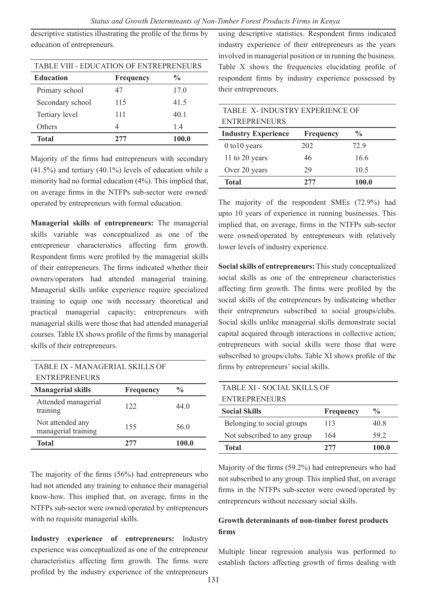descriptive statistics illustrating the profile of the firms by education of entrepreneurs.

| TABLE VIII - EDUCATION OF ENTREPRENEURS               |     |       |  |  |
|-------------------------------------------------------|-----|-------|--|--|
| <b>Education</b><br>$\frac{0}{0}$<br><b>Frequency</b> |     |       |  |  |
| Primary school                                        | 47  | 17.0  |  |  |
| Secondary school                                      | 115 | 41.5  |  |  |
| Tertiary level                                        | 111 | 40.1  |  |  |
| Others                                                | 4   | 1.4   |  |  |
| <b>Total</b>                                          | 277 | 100.0 |  |  |

Majority of the firms had entrepreneurs with secondary (41.5%) and tertiary (40.1%) levels of education while a minority had no formal education (4%). This implied that, on average firms in the NTFPs sub-sector were owned/ operated by entrepreneurs with formal education.

**Managerial skills of entrepreneurs:** The managerial skills variable was conceptualized as one of the entrepreneur characteristics affecting firm growth. Respondent firms were profiled by the managerial skills of their entrepreneurs. The firms indicated whether their owners/operators had attended managerial training. Managerial skills unlike experience require specialized training to equip one with necessary theoretical and practical managerial capacity; entrepreneurs with managerial skills were those that had attended managerial courses. Table IX shows profile of the firms by managerial skills of their entrepreneurs.

| TABLE IX - MANAGERIAL SKILLS OF         |                  |               |
|-----------------------------------------|------------------|---------------|
| <b>ENTREPRENEURS</b>                    |                  |               |
| <b>Managerial skills</b>                | <b>Frequency</b> | $\frac{0}{0}$ |
| Attended managerial<br>training         | 122.             | 44 Q          |
| Not attended any<br>managerial training | 155              | 56.0          |
| Total                                   | 277              | 100.0         |

The majority of the firms (56%) had entrepreneurs who had not attended any training to enhance their managerial know-how. This implied that, on average, firms in the NTFPs sub-sector were owned/operated by entrepreneurs with no requisite managerial skills.

**Industry experience of entrepreneurs:** Industry experience was conceptualized as one of the entrepreneur characteristics affecting firm growth. The firms were profiled by the industry experience of the entrepreneurs

using descriptive statistics. Respondent firms indicated industry experience of their entrepreneurs as the years involved in managerial position or in running the business. Table X shows the frequencies elucidating profile of respondent firms by industry experience possessed by their entrepreneurs.

| TABLE X-INDUSTRY EXPERIENCE OF |           |               |  |
|--------------------------------|-----------|---------------|--|
| <b>ENTREPRENEURS</b>           |           |               |  |
| <b>Industry Experience</b>     | Frequency | $\frac{0}{0}$ |  |
| $0$ to $10$ years              | 202       | 72.9          |  |
| 11 to 20 years                 | 46        | 16.6          |  |
| Over 20 years                  | 29        | 10.5          |  |
| <b>Total</b>                   | 277       | 100.0         |  |

The majority of the respondent SMEs (72.9%) had upto 10 years of experience in running businesses. This implied that, on average, firms in the NTFPs sub-sector were owned/operated by entrepreneurs with relatively lower levels of industry experience.

**Social skills of entrepreneurs:** This study conceptualized social skills as one of the entrepreneur characteristics affecting firm growth. The firms were profiled by the social skills of the entrepreneurs by indicateing whether their entrepreneurs subscribed to social groups/clubs. Social skills unlike managerial skills demonstrate social capital acquired through interactions in collective action; entrepreneurs with social skills were those that were subscribed to groups/clubs. Table XI shows profile of the firms by entrepreneurs' social skills.

| TABLE XI - SOCIAL SKILLS OF |           |               |  |
|-----------------------------|-----------|---------------|--|
| <b>ENTREPRENEURS</b>        |           |               |  |
| <b>Social Skills</b>        | Frequency | $\frac{0}{0}$ |  |
| Belonging to social groups  | 113       | 40.8          |  |
| Not subscribed to any group | 164       | 59.2          |  |
| <b>Total</b>                | 277       | 100.0         |  |

Majority of the firms (59.2%) had entrepreneurs who had not subscribed to any group. This implied that, on average firms in the NTFPs sub-sector were owned/operated by entrepreneurs without necessary social skills.

# **Growth determinants of non-timber forest products firms**

Multiple linear regression analysis was performed to establish factors affecting growth of firms dealing with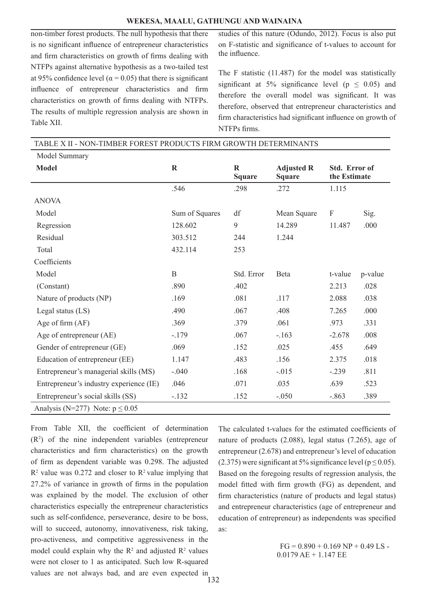#### **WEKESA, MAALU, GATHUNGU AND WAINAINA**

non-timber forest products. The null hypothesis that there is no significant influence of entrepreneur characteristics and firm characteristics on growth of firms dealing with NTFPs against alternative hypothesis as a two-tailed test at 95% confidence level ( $\alpha$  = 0.05) that there is significant influence of entrepreneur characteristics and firm characteristics on growth of firms dealing with NTFPs. The results of multiple regression analysis are shown in Table XII.

studies of this nature (Odundo, 2012). Focus is also put on F-statistic and significance of t-values to account for the influence.

The F statistic (11.487) for the model was statistically significant at 5% significance level ( $p \le 0.05$ ) and therefore the overall model was significant. It was therefore, observed that entrepreneur characteristics and firm characteristics had significant influence on growth of NTFPs firms.

| TABLE X II - NON-TIMBER FOREST PRODUCTS FIRM GROWTH DETERMINANTS |                |                           |                                    |                               |         |
|------------------------------------------------------------------|----------------|---------------------------|------------------------------------|-------------------------------|---------|
| Model Summary                                                    |                |                           |                                    |                               |         |
| <b>Model</b>                                                     | $\mathbf R$    | $\bf{R}$<br><b>Square</b> | <b>Adjusted R</b><br><b>Square</b> | Std. Error of<br>the Estimate |         |
|                                                                  | .546           | .298                      | .272                               | 1.115                         |         |
| <b>ANOVA</b>                                                     |                |                           |                                    |                               |         |
| Model                                                            | Sum of Squares | df                        | Mean Square                        | F                             | Sig.    |
| Regression                                                       | 128.602        | 9                         | 14.289                             | 11.487                        | .000    |
| Residual                                                         | 303.512        | 244                       | 1.244                              |                               |         |
| Total                                                            | 432.114        | 253                       |                                    |                               |         |
| Coefficients                                                     |                |                           |                                    |                               |         |
| Model                                                            | B              | Std. Error                | Beta                               | t-value                       | p-value |
| (Constant)                                                       | .890           | .402                      |                                    | 2.213                         | .028    |
| Nature of products (NP)                                          | .169           | .081                      | .117                               | 2.088                         | .038    |
| Legal status (LS)                                                | .490           | .067                      | .408                               | 7.265                         | .000    |
| Age of firm (AF)                                                 | .369           | .379                      | .061                               | .973                          | .331    |
| Age of entrepreneur (AE)                                         | $-.179$        | .067                      | $-163$                             | $-2.678$                      | .008    |
| Gender of entrepreneur (GE)                                      | .069           | .152                      | .025                               | .455                          | .649    |
| Education of entrepreneur (EE)                                   | 1.147          | .483                      | .156                               | 2.375                         | .018    |
| Entrepreneur's managerial skills (MS)                            | $-.040$        | .168                      | $-.015$                            | $-.239$                       | .811    |
| Entrepreneur's industry experience (IE)                          | .046           | .071                      | .035                               | .639                          | .523    |
| Entrepreneur's social skills (SS)                                | $-.132$        | .152                      | $-.050$                            | $-.863$                       | .389    |
| Analysis (N=277) Note: $p \le 0.05$                              |                |                           |                                    |                               |         |

From Table XII, the coefficient of determination (R2 ) of the nine independent variables (entrepreneur characteristics and firm characteristics) on the growth of firm as dependent variable was 0.298. The adjusted  $R<sup>2</sup>$  value was 0.272 and closer to  $R<sup>2</sup>$  value implying that 27.2% of variance in growth of firms in the population was explained by the model. The exclusion of other characteristics especially the entrepreneur characteristics such as self-confidence, perseverance, desire to be boss, will to succeed, autonomy, innovativeness, risk taking, pro-activeness, and competitive aggressiveness in the model could explain why the  $\mathbb{R}^2$  and adjusted  $\mathbb{R}^2$  values were not closer to 1 as anticipated. Such low R-squared values are not always bad, and are even expected in

The calculated t-values for the estimated coefficients of nature of products (2.088), legal status (7.265), age of entrepreneur (2.678) and entrepreneur's level of education (2.375) were significant at 5% significance level ( $p \le 0.05$ ). Based on the foregoing results of regression analysis, the model fitted with firm growth (FG) as dependent, and firm characteristics (nature of products and legal status) and entrepreneur characteristics (age of entrepreneur and education of entrepreneur) as independents was specified as:

132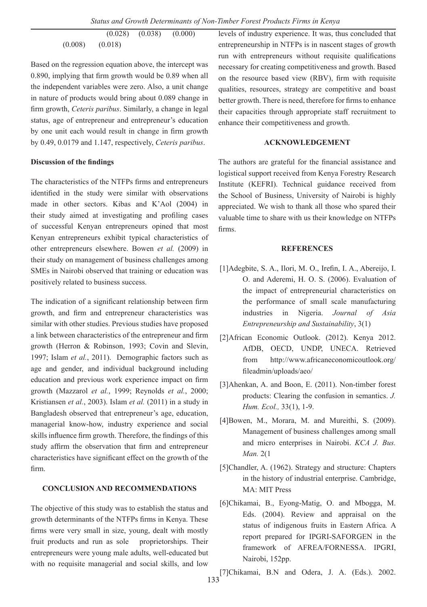$(0.028)$   $(0.038)$   $(0.000)$ (0.008) (0.018)

Based on the regression equation above, the intercept was 0.890, implying that firm growth would be 0.89 when all the independent variables were zero. Also, a unit change in nature of products would bring about 0.089 change in firm growth, *Ceteris paribus*. Similarly, a change in legal status, age of entrepreneur and entrepreneur's education by one unit each would result in change in firm growth by 0.49, 0.0179 and 1.147, respectively, *Ceteris paribus*.

#### **Discussion of the findings**

The characteristics of the NTFPs firms and entrepreneurs identified in the study were similar with observations made in other sectors. Kibas and K'Aol (2004) in their study aimed at investigating and profiling cases of successful Kenyan entrepreneurs opined that most Kenyan entrepreneurs exhibit typical characteristics of other entrepreneurs elsewhere. Bowen *et al.* (2009) in their study on management of business challenges among SMEs in Nairobi observed that training or education was positively related to business success.

The indication of a significant relationship between firm growth, and firm and entrepreneur characteristics was similar with other studies. Previous studies have proposed a link between characteristics of the entrepreneur and firm growth (Herron & Robinson, 1993; Covin and Slevin, 1997; Islam *et al.*, 2011). Demographic factors such as age and gender, and individual background including education and previous work experience impact on firm growth (Mazzarol *et al.*, 1999; Reynolds *et al.*, 2000; Kristiansen *et al.*, 2003). Islam *et al.* (2011) in a study in Bangladesh observed that entrepreneur's age, education, managerial know-how, industry experience and social skills influence firm growth. Therefore, the findings of this study affirm the observation that firm and entrepreneur characteristics have significant effect on the growth of the firm.

# **CONCLUSION AND RECOMMENDATIONS**

The objective of this study was to establish the status and growth determinants of the NTFPs firms in Kenya. These firms were very small in size, young, dealt with mostly fruit products and run as sole proprietorships. Their entrepreneurs were young male adults, well-educated but with no requisite managerial and social skills, and low

levels of industry experience. It was, thus concluded that entrepreneurship in NTFPs is in nascent stages of growth run with entrepreneurs without requisite qualifications necessary for creating competitiveness and growth. Based on the resource based view (RBV), firm with requisite qualities, resources, strategy are competitive and boast better growth. There is need, therefore for firms to enhance their capacities through appropriate staff recruitment to enhance their competitiveness and growth.

# **ACKNOWLEDGEMENT**

The authors are grateful for the financial assistance and logistical support received from Kenya Forestry Research Institute (KEFRI). Technical guidance received from the School of Business, University of Nairobi is highly appreciated. We wish to thank all those who spared their valuable time to share with us their knowledge on NTFPs firms.

#### **REFERENCES**

- [1]Adegbite, S. A., Ilori, M. O., Irefin, I. A., Abereijo, I. O. and Aderemi, H. O. S. (2006). Evaluation of the impact of entrepreneurial characteristics on the performance of small scale manufacturing industries in Nigeria. *Journal of Asia Entrepreneurship and Sustainability*, 3(1)
- [2]African Economic Outlook. (2012). Kenya 2012. AfDB, OECD, UNDP, UNECA. Retrieved from http://www.africaneconomicoutlook.org/ fileadmin/uploads/aeo/
- [3]Ahenkan, A. and Boon, E. (2011). Non-timber forest products: Clearing the confusion in semantics. *J. Hum. Ecol.,* 33(1), 1-9.
- [4]Bowen, M., Morara, M. and Mureithi, S. (2009). Management of business challenges among small and micro enterprises in Nairobi. *KCA J. Bus. Man.* 2(1
- [5]Chandler, A. (1962). Strategy and structure: Chapters in the history of industrial enterprise. Cambridge, MA: MIT Press
- [6]Chikamai, B., Eyong-Matig, O. and Mbogga, M. Eds. (2004). Review and appraisal on the status of indigenous fruits in Eastern Africa*.* A report prepared for IPGRI-SAFORGEN in the framework of AFREA/FORNESSA. IPGRI, Nairobi, 152pp.
- [7]Chikamai, B.N and Odera, J. A. (Eds.). 2002.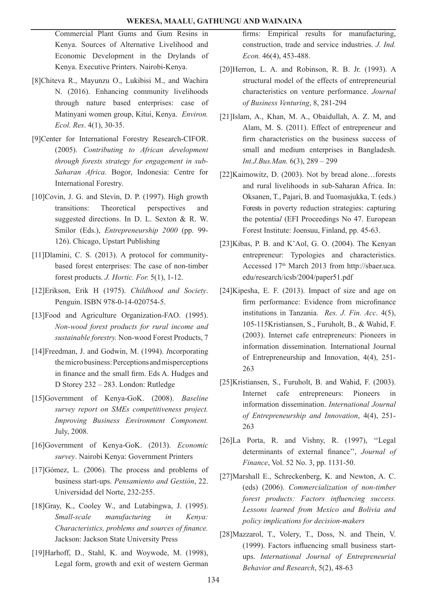Commercial Plant Gums and Gum Resins in Kenya. Sources of Alternative Livelihood and Economic Development in the Drylands of Kenya. Executive Printers. Nairobi-Kenya.

- [8]Chiteva R., Mayunzu O., Lukibisi M., and Wachira N. (2016). Enhancing community livelihoods through nature based enterprises: case of Matinyani women group, Kitui, Kenya. *Environ. Ecol. Res*. 4(1), 30-35.
- [9]Center for International Forestry Research-CIFOR. (2005). *Contributing to African development through forests strategy for engagement in sub-Saharan Africa.* Bogor, Indonesia: Centre for International Forestry.
- [10]Covin, J. G. and Slevin, D. P. (1997). High growth transitions: Theoretical perspectives and suggested directions. In D. L. Sexton & R. W. Smilor (Eds.), *Entrepreneurship 2000* (pp. 99- 126). Chicago, Upstart Publishing
- [11]Dlamini, C. S. (2013). A protocol for communitybased forest enterprises: The case of non-timber forest products. *J. Hortic. For.* 5(1), 1-12.
- [12]Erikson, Erik H (1975). *Childhood and Society*. Penguin. ISBN 978-0-14-020754-5.
- [13]Food and Agriculture Organization-FAO. (1995). *Non-wood forest products for rural income and sustainable forestry.* Non-wood Forest Products, 7
- [14]Freedman, J. and Godwin, M. (1994). *I*ncorporating the micro business: Perceptions and misperceptions in finance and the small firm. Eds A. Hudges and D Storey 232 – 283. London: Rutledge
- [15]Government of Kenya-GoK. (2008). *Baseline survey report on SMEs competitiveness project. Improving Business Environment Component.* July, 2008.
- [16]Government of Kenya-GoK. (2013). *Economic survey*. Nairobi Kenya: Government Printers
- [17]Gómez, L. (2006). The process and problems of business start-ups. *Pensamiento and Gestión*, 22. Universidad del Norte, 232-255.
- [18]Gray, K., Cooley W., and Lutabingwa, J. (1995). *Small-scale manufacturing in Kenya: Characteristics, problems and sources of finance.* Jackson: Jackson State University Press
- [19]Harhoff, D., Stahl, K. and Woywode, M. (1998), Legal form, growth and exit of western German

firms: Empirical results for manufacturing, construction, trade and service industries. *J. Ind. Econ.* 46(4), 453-488.

- [20]Herron, L. A. and Robinson, R. B. Jr. (1993). A structural model of the effects of entrepreneurial characteristics on venture performance. *Journal of Business Venturing*, 8, 281-294
- [21]Islam, A., Khan, M. A., Obaidullah, A. Z. M, and Alam, M. S. (2011). Effect of entrepreneur and firm characteristics on the business success of small and medium enterprises in Bangladesh. *Int.J.Bus.Man.* 6(3), 289 – 299
- [22]Kaimowitz, D. (2003). Not by bread alone…forests and rural livelihoods in sub-Saharan Africa. In: Oksanen, T., Pajari, B. and Tuomasjukka, T. (eds.) Forests in poverty reduction strategies: capturing the potentia*l* (EFI Proceedings No 47. European Forest Institute: Joensuu, Finland, pp. 45-63.
- [23]Kibas, P. B. and K'Aol, G. O. (2004). The Kenyan entrepreneur: Typologies and characteristics. Accessed 17th March 2013 from http://sbaer.uca. edu/research/icsb/2004/paper51.pdf
- [24]Kipesha, E. F. (2013). Impact of size and age on firm performance: Evidence from microfinance institutions in Tanzania. *Res. J. Fin. Acc*. 4(5), 105-115Kristiansen, S., Furuholt, B., & Wahid, F. (2003). Internet cafe entrepreneurs: Pioneers in information dissemination. International Journal of Entrepreneurship and Innovation, 4(4), 251- 263
- [25]Kristiansen, S., Furuholt, B. and Wahid, F. (2003). Internet cafe entrepreneurs: Pioneers in information dissemination. *International Journal of Entrepreneurship and Innovation*, 4(4), 251- 263
- [26]La Porta, R. and Vishny, R. (1997), ''Legal determinants of external finance'', *Journal of Finance*, Vol. 52 No. 3, pp. 1131-50.
- [27]Marshall E., Schreckenberg, K. and Newton, A. C. (eds) (2006). *Commercialization of non-timber forest products: Factors influencing success. Lessons learned from Mexico and Bolivia and policy implications for decision-makers*
- [28]Mazzarol, T., Volery, T., Doss, N. and Thein, V. (1999). Factors influencing small business startups. *International Journal of Entrepreneurial Behavior and Research*, 5(2), 48-63